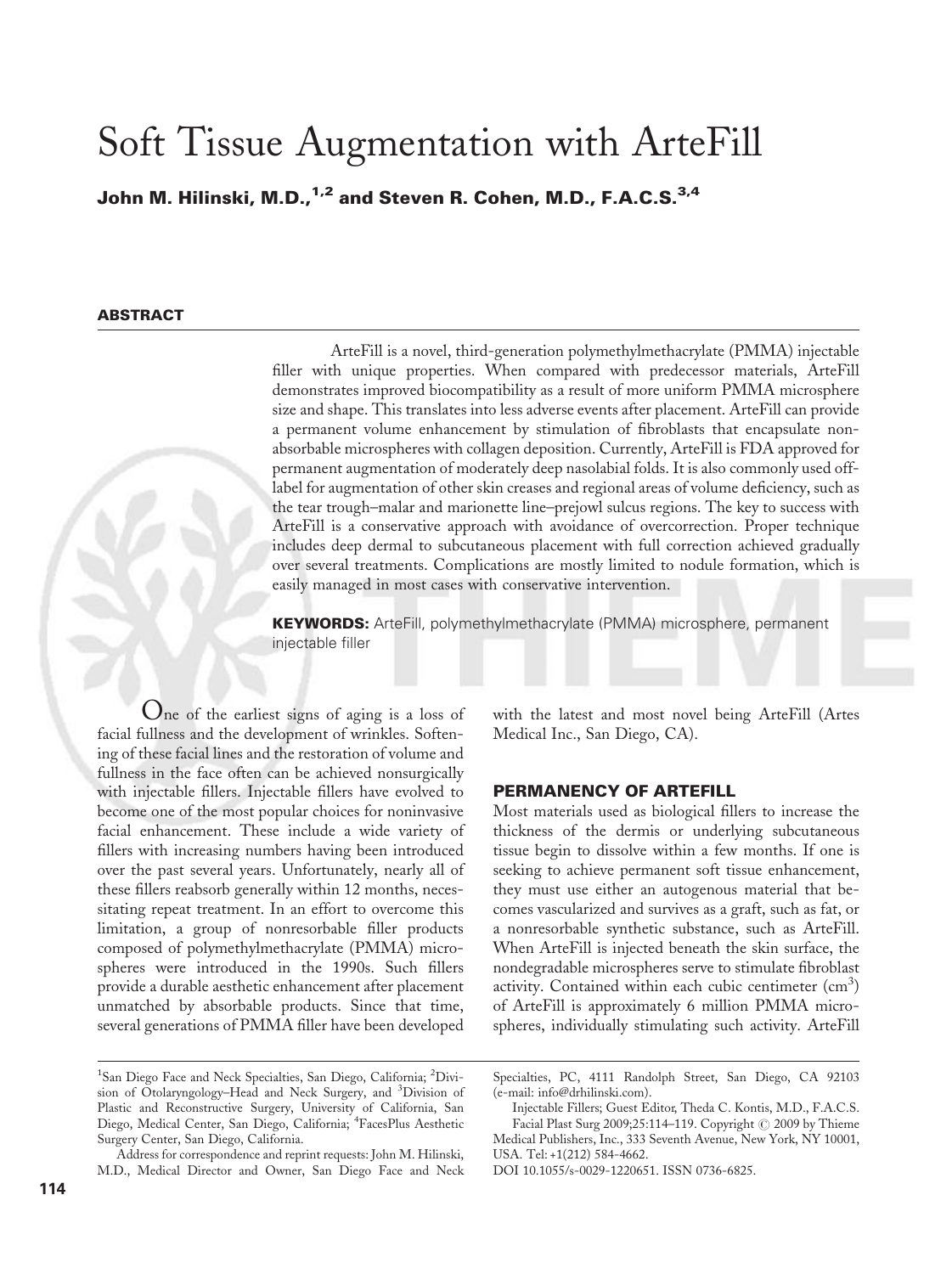# Soft Tissue Augmentation with ArteFill

John M. Hilinski, M.D.,<sup>1,2</sup> and Steven R. Cohen, M.D., F.A.C.S.<sup>3,4</sup>

## **ABSTRACT**

ArteFill is a novel, third-generation polymethylmethacrylate (PMMA) injectable filler with unique properties. When compared with predecessor materials, ArteFill demonstrates improved biocompatibility as a result of more uniform PMMA microsphere size and shape. This translates into less adverse events after placement. ArteFill can provide a permanent volume enhancement by stimulation of fibroblasts that encapsulate nonabsorbable microspheres with collagen deposition. Currently, ArteFill is FDA approved for permanent augmentation of moderately deep nasolabial folds. It is also commonly used offlabel for augmentation of other skin creases and regional areas of volume deficiency, such as the tear trough–malar and marionette line–prejowl sulcus regions. The key to success with ArteFill is a conservative approach with avoidance of overcorrection. Proper technique includes deep dermal to subcutaneous placement with full correction achieved gradually over several treatments. Complications are mostly limited to nodule formation, which is easily managed in most cases with conservative intervention.

**KEYWORDS:** ArteFill, polymethylmethacrylate (PMMA) microsphere, permanent injectable filler

One of the earliest signs of aging is a loss of facial fullness and the development of wrinkles. Softening of these facial lines and the restoration of volume and fullness in the face often can be achieved nonsurgically with injectable fillers. Injectable fillers have evolved to become one of the most popular choices for noninvasive facial enhancement. These include a wide variety of fillers with increasing numbers having been introduced over the past several years. Unfortunately, nearly all of these fillers reabsorb generally within 12 months, necessitating repeat treatment. In an effort to overcome this limitation, a group of nonresorbable filler products composed of polymethylmethacrylate (PMMA) microspheres were introduced in the 1990s. Such fillers provide a durable aesthetic enhancement after placement unmatched by absorbable products. Since that time, several generations of PMMA filler have been developed

Address for correspondence and reprint requests: John M. Hilinski, M.D., Medical Director and Owner, San Diego Face and Neck with the latest and most novel being ArteFill (Artes Medical Inc., San Diego, CA).

## PERMANENCY OF ARTEFILL

Most materials used as biological fillers to increase the thickness of the dermis or underlying subcutaneous tissue begin to dissolve within a few months. If one is seeking to achieve permanent soft tissue enhancement, they must use either an autogenous material that becomes vascularized and survives as a graft, such as fat, or a nonresorbable synthetic substance, such as ArteFill. When ArteFill is injected beneath the skin surface, the nondegradable microspheres serve to stimulate fibroblast activity. Contained within each cubic centimeter  $\rm (cm^3)$ of ArteFill is approximately 6 million PMMA microspheres, individually stimulating such activity. ArteFill

<sup>&</sup>lt;sup>1</sup>San Diego Face and Neck Specialties, San Diego, California; <sup>2</sup>Division of Otolaryngology–Head and Neck Surgery, and <sup>3</sup> Division of Plastic and Reconstructive Surgery, University of California, San Diego, Medical Center, San Diego, California; <sup>4</sup>FacesPlus Aesthetic Surgery Center, San Diego, California.

Specialties, PC, 4111 Randolph Street, San Diego, CA 92103 (e-mail: info@drhilinski.com).

Injectable Fillers; Guest Editor, Theda C. Kontis, M.D., F.A.C.S. Facial Plast Surg 2009;25:114–119. Copyright © 2009 by Thieme Medical Publishers, Inc., 333 Seventh Avenue, New York, NY 10001, USA. Tel: +1(212) 584-4662.

DOI 10.1055/s-0029-1220651. ISSN 0736-6825.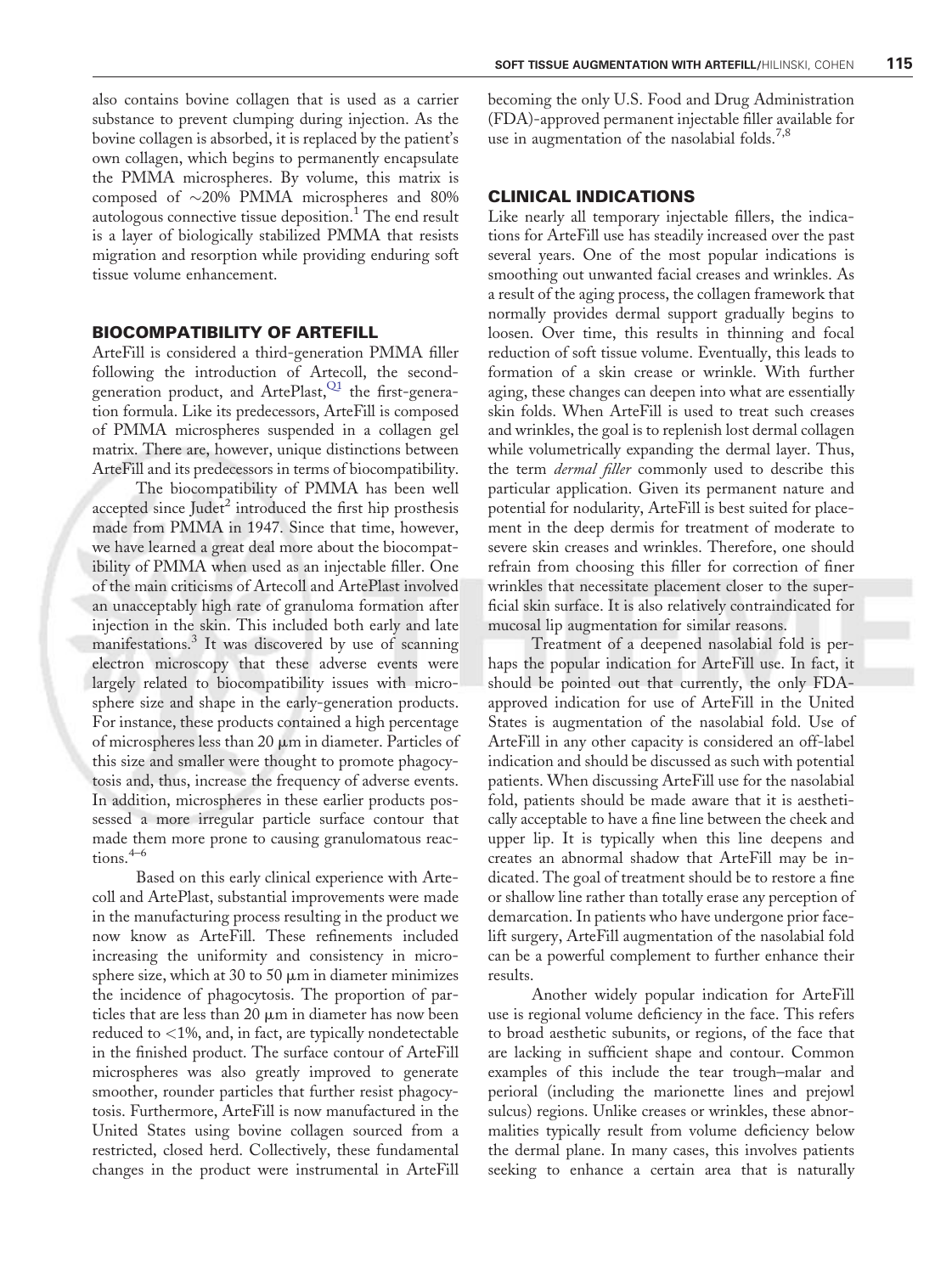also contains bovine collagen that is used as a carrier substance to prevent clumping during injection. As the bovine collagen is absorbed, it is replaced by the patient's own collagen, which begins to permanently encapsulate the PMMA microspheres. By volume, this matrix is composed of  $\sim$ 20% PMMA microspheres and 80% autologous connective tissue deposition.<sup>1</sup> The end result is a layer of biologically stabilized PMMA that resists migration and resorption while providing enduring soft tissue volume enhancement.

## BIOCOMPATIBILITY OF ARTEFILL

ArteFill is considered a third-generation PMMA filler following the introduction of Artecoll, the secondgeneration product, and ArtePlast,  $\mathbb{Q}^1$  the first-generation formula. Like its predecessors, ArteFill is composed of PMMA microspheres suspended in a collagen gel matrix. There are, however, unique distinctions between ArteFill and its predecessors in terms of biocompatibility.

The biocompatibility of PMMA has been well accepted since Judet<sup>2</sup> introduced the first hip prosthesis made from PMMA in 1947. Since that time, however, we have learned a great deal more about the biocompatibility of PMMA when used as an injectable filler. One of the main criticisms of Artecoll and ArtePlast involved an unacceptably high rate of granuloma formation after injection in the skin. This included both early and late manifestations.<sup>3</sup> It was discovered by use of scanning electron microscopy that these adverse events were largely related to biocompatibility issues with microsphere size and shape in the early-generation products. For instance, these products contained a high percentage of microspheres less than 20  $\mu$ m in diameter. Particles of this size and smaller were thought to promote phagocytosis and, thus, increase the frequency of adverse events. In addition, microspheres in these earlier products possessed a more irregular particle surface contour that made them more prone to causing granulomatous reactions.<sup>4–6</sup>

Based on this early clinical experience with Artecoll and ArtePlast, substantial improvements were made in the manufacturing process resulting in the product we now know as ArteFill. These refinements included increasing the uniformity and consistency in microsphere size, which at 30 to 50  $\mu$ m in diameter minimizes the incidence of phagocytosis. The proportion of particles that are less than 20  $\mu$ m in diameter has now been reduced to <1%, and, in fact, are typically nondetectable in the finished product. The surface contour of ArteFill microspheres was also greatly improved to generate smoother, rounder particles that further resist phagocytosis. Furthermore, ArteFill is now manufactured in the United States using bovine collagen sourced from a restricted, closed herd. Collectively, these fundamental changes in the product were instrumental in ArteFill

becoming the only U.S. Food and Drug Administration (FDA)-approved permanent injectable filler available for use in augmentation of the nasolabial folds. $^{7,8}$ 

## CLINICAL INDICATIONS

Like nearly all temporary injectable fillers, the indications for ArteFill use has steadily increased over the past several years. One of the most popular indications is smoothing out unwanted facial creases and wrinkles. As a result of the aging process, the collagen framework that normally provides dermal support gradually begins to loosen. Over time, this results in thinning and focal reduction of soft tissue volume. Eventually, this leads to formation of a skin crease or wrinkle. With further aging, these changes can deepen into what are essentially skin folds. When ArteFill is used to treat such creases and wrinkles, the goal is to replenish lost dermal collagen while volumetrically expanding the dermal layer. Thus, the term *dermal filler* commonly used to describe this particular application. Given its permanent nature and potential for nodularity, ArteFill is best suited for placement in the deep dermis for treatment of moderate to severe skin creases and wrinkles. Therefore, one should refrain from choosing this filler for correction of finer wrinkles that necessitate placement closer to the superficial skin surface. It is also relatively contraindicated for mucosal lip augmentation for similar reasons.

Treatment of a deepened nasolabial fold is perhaps the popular indication for ArteFill use. In fact, it should be pointed out that currently, the only FDAapproved indication for use of ArteFill in the United States is augmentation of the nasolabial fold. Use of ArteFill in any other capacity is considered an off-label indication and should be discussed as such with potential patients. When discussing ArteFill use for the nasolabial fold, patients should be made aware that it is aesthetically acceptable to have a fine line between the cheek and upper lip. It is typically when this line deepens and creates an abnormal shadow that ArteFill may be indicated. The goal of treatment should be to restore a fine or shallow line rather than totally erase any perception of demarcation. In patients who have undergone prior facelift surgery, ArteFill augmentation of the nasolabial fold can be a powerful complement to further enhance their results.

Another widely popular indication for ArteFill use is regional volume deficiency in the face. This refers to broad aesthetic subunits, or regions, of the face that are lacking in sufficient shape and contour. Common examples of this include the tear trough–malar and perioral (including the marionette lines and prejowl sulcus) regions. Unlike creases or wrinkles, these abnormalities typically result from volume deficiency below the dermal plane. In many cases, this involves patients seeking to enhance a certain area that is naturally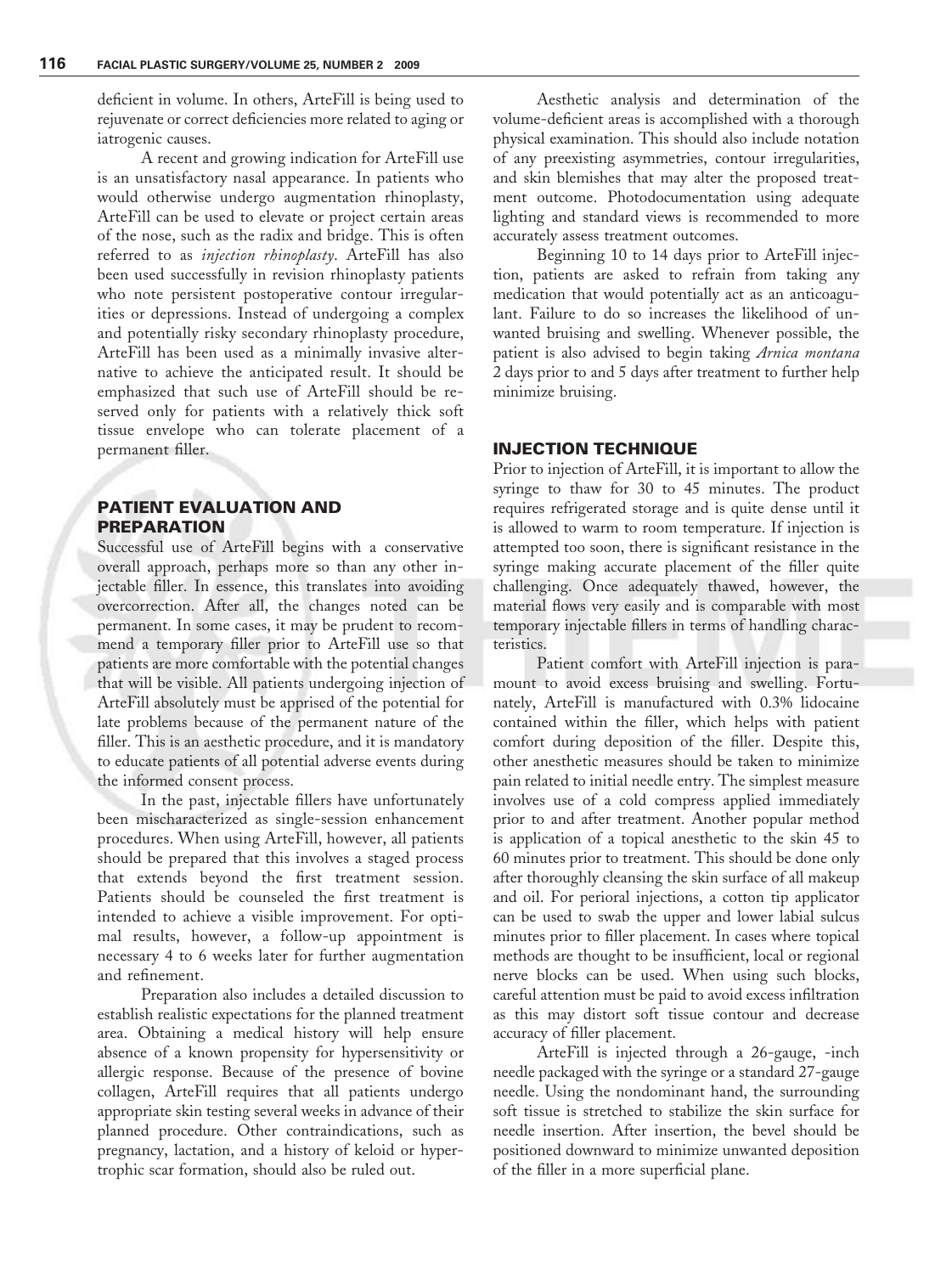deficient in volume. In others, ArteFill is being used to rejuvenate or correct deficiencies more related to aging or iatrogenic causes.

A recent and growing indication for ArteFill use is an unsatisfactory nasal appearance. In patients who would otherwise undergo augmentation rhinoplasty, ArteFill can be used to elevate or project certain areas of the nose, such as the radix and bridge. This is often referred to as *injection rhinoplasty*. ArteFill has also been used successfully in revision rhinoplasty patients who note persistent postoperative contour irregularities or depressions. Instead of undergoing a complex and potentially risky secondary rhinoplasty procedure, ArteFill has been used as a minimally invasive alternative to achieve the anticipated result. It should be emphasized that such use of ArteFill should be reserved only for patients with a relatively thick soft tissue envelope who can tolerate placement of a permanent filler.

## PATIENT EVALUATION AND PREPARATION

Successful use of ArteFill begins with a conservative overall approach, perhaps more so than any other injectable filler. In essence, this translates into avoiding overcorrection. After all, the changes noted can be permanent. In some cases, it may be prudent to recommend a temporary filler prior to ArteFill use so that patients are more comfortable with the potential changes that will be visible. All patients undergoing injection of ArteFill absolutely must be apprised of the potential for late problems because of the permanent nature of the filler. This is an aesthetic procedure, and it is mandatory to educate patients of all potential adverse events during the informed consent process.

In the past, injectable fillers have unfortunately been mischaracterized as single-session enhancement procedures. When using ArteFill, however, all patients should be prepared that this involves a staged process that extends beyond the first treatment session. Patients should be counseled the first treatment is intended to achieve a visible improvement. For optimal results, however, a follow-up appointment is necessary 4 to 6 weeks later for further augmentation and refinement.

Preparation also includes a detailed discussion to establish realistic expectations for the planned treatment area. Obtaining a medical history will help ensure absence of a known propensity for hypersensitivity or allergic response. Because of the presence of bovine collagen, ArteFill requires that all patients undergo appropriate skin testing several weeks in advance of their planned procedure. Other contraindications, such as pregnancy, lactation, and a history of keloid or hypertrophic scar formation, should also be ruled out.

Aesthetic analysis and determination of the volume-deficient areas is accomplished with a thorough physical examination. This should also include notation of any preexisting asymmetries, contour irregularities, and skin blemishes that may alter the proposed treatment outcome. Photodocumentation using adequate lighting and standard views is recommended to more accurately assess treatment outcomes.

Beginning 10 to 14 days prior to ArteFill injection, patients are asked to refrain from taking any medication that would potentially act as an anticoagulant. Failure to do so increases the likelihood of unwanted bruising and swelling. Whenever possible, the patient is also advised to begin taking Arnica montana 2 days prior to and 5 days after treatment to further help minimize bruising.

## INJECTION TECHNIQUE

Prior to injection of ArteFill, it is important to allow the syringe to thaw for 30 to 45 minutes. The product requires refrigerated storage and is quite dense until it is allowed to warm to room temperature. If injection is attempted too soon, there is significant resistance in the syringe making accurate placement of the filler quite challenging. Once adequately thawed, however, the material flows very easily and is comparable with most temporary injectable fillers in terms of handling characteristics.

Patient comfort with ArteFill injection is paramount to avoid excess bruising and swelling. Fortunately, ArteFill is manufactured with 0.3% lidocaine contained within the filler, which helps with patient comfort during deposition of the filler. Despite this, other anesthetic measures should be taken to minimize pain related to initial needle entry. The simplest measure involves use of a cold compress applied immediately prior to and after treatment. Another popular method is application of a topical anesthetic to the skin 45 to 60 minutes prior to treatment. This should be done only after thoroughly cleansing the skin surface of all makeup and oil. For perioral injections, a cotton tip applicator can be used to swab the upper and lower labial sulcus minutes prior to filler placement. In cases where topical methods are thought to be insufficient, local or regional nerve blocks can be used. When using such blocks, careful attention must be paid to avoid excess infiltration as this may distort soft tissue contour and decrease accuracy of filler placement.

ArteFill is injected through a 26-gauge, -inch needle packaged with the syringe or a standard 27-gauge needle. Using the nondominant hand, the surrounding soft tissue is stretched to stabilize the skin surface for needle insertion. After insertion, the bevel should be positioned downward to minimize unwanted deposition of the filler in a more superficial plane.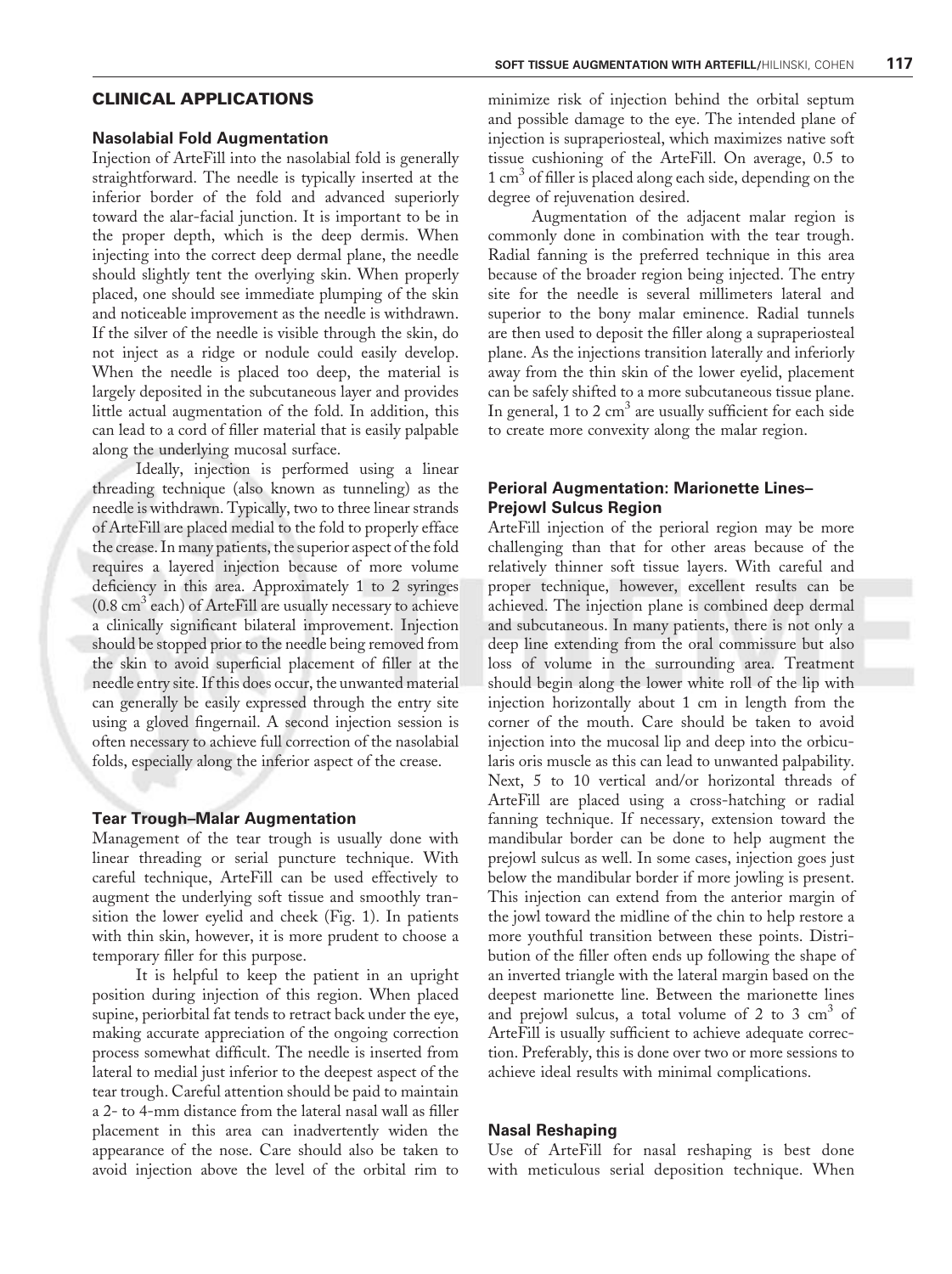## CLINICAL APPLICATIONS

#### Nasolabial Fold Augmentation

Injection of ArteFill into the nasolabial fold is generally straightforward. The needle is typically inserted at the inferior border of the fold and advanced superiorly toward the alar-facial junction. It is important to be in the proper depth, which is the deep dermis. When injecting into the correct deep dermal plane, the needle should slightly tent the overlying skin. When properly placed, one should see immediate plumping of the skin and noticeable improvement as the needle is withdrawn. If the silver of the needle is visible through the skin, do not inject as a ridge or nodule could easily develop. When the needle is placed too deep, the material is largely deposited in the subcutaneous layer and provides little actual augmentation of the fold. In addition, this can lead to a cord of filler material that is easily palpable along the underlying mucosal surface.

Ideally, injection is performed using a linear threading technique (also known as tunneling) as the needle is withdrawn. Typically, two to three linear strands of ArteFill are placed medial to the fold to properly efface the crease. In many patients, the superior aspect of the fold requires a layered injection because of more volume deficiency in this area. Approximately 1 to 2 syringes  $(0.8 \text{ cm}^3 \text{ each})$  of ArteFill are usually necessary to achieve a clinically significant bilateral improvement. Injection should be stopped prior to the needle being removed from the skin to avoid superficial placement of filler at the needle entry site. If this does occur, the unwanted material can generally be easily expressed through the entry site using a gloved fingernail. A second injection session is often necessary to achieve full correction of the nasolabial folds, especially along the inferior aspect of the crease.

### Tear Trough–Malar Augmentation

Management of the tear trough is usually done with linear threading or serial puncture technique. With careful technique, ArteFill can be used effectively to augment the underlying soft tissue and smoothly transition the lower eyelid and cheek (Fig. 1). In patients with thin skin, however, it is more prudent to choose a temporary filler for this purpose.

It is helpful to keep the patient in an upright position during injection of this region. When placed supine, periorbital fat tends to retract back under the eye, making accurate appreciation of the ongoing correction process somewhat difficult. The needle is inserted from lateral to medial just inferior to the deepest aspect of the tear trough. Careful attention should be paid to maintain a 2- to 4-mm distance from the lateral nasal wall as filler placement in this area can inadvertently widen the appearance of the nose. Care should also be taken to avoid injection above the level of the orbital rim to

minimize risk of injection behind the orbital septum and possible damage to the eye. The intended plane of injection is supraperiosteal, which maximizes native soft tissue cushioning of the ArteFill. On average, 0.5 to 1 cm<sup>3</sup> of filler is placed along each side, depending on the degree of rejuvenation desired.

Augmentation of the adjacent malar region is commonly done in combination with the tear trough. Radial fanning is the preferred technique in this area because of the broader region being injected. The entry site for the needle is several millimeters lateral and superior to the bony malar eminence. Radial tunnels are then used to deposit the filler along a supraperiosteal plane. As the injections transition laterally and inferiorly away from the thin skin of the lower eyelid, placement can be safely shifted to a more subcutaneous tissue plane. In general, 1 to 2  $\text{cm}^3$  are usually sufficient for each side to create more convexity along the malar region.

## Perioral Augmentation: Marionette Lines– Prejowl Sulcus Region

ArteFill injection of the perioral region may be more challenging than that for other areas because of the relatively thinner soft tissue layers. With careful and proper technique, however, excellent results can be achieved. The injection plane is combined deep dermal and subcutaneous. In many patients, there is not only a deep line extending from the oral commissure but also loss of volume in the surrounding area. Treatment should begin along the lower white roll of the lip with injection horizontally about 1 cm in length from the corner of the mouth. Care should be taken to avoid injection into the mucosal lip and deep into the orbicularis oris muscle as this can lead to unwanted palpability. Next, 5 to 10 vertical and/or horizontal threads of ArteFill are placed using a cross-hatching or radial fanning technique. If necessary, extension toward the mandibular border can be done to help augment the prejowl sulcus as well. In some cases, injection goes just below the mandibular border if more jowling is present. This injection can extend from the anterior margin of the jowl toward the midline of the chin to help restore a more youthful transition between these points. Distribution of the filler often ends up following the shape of an inverted triangle with the lateral margin based on the deepest marionette line. Between the marionette lines and prejowl sulcus, a total volume of 2 to 3  $\text{cm}^3$  of ArteFill is usually sufficient to achieve adequate correction. Preferably, this is done over two or more sessions to achieve ideal results with minimal complications.

#### Nasal Reshaping

Use of ArteFill for nasal reshaping is best done with meticulous serial deposition technique. When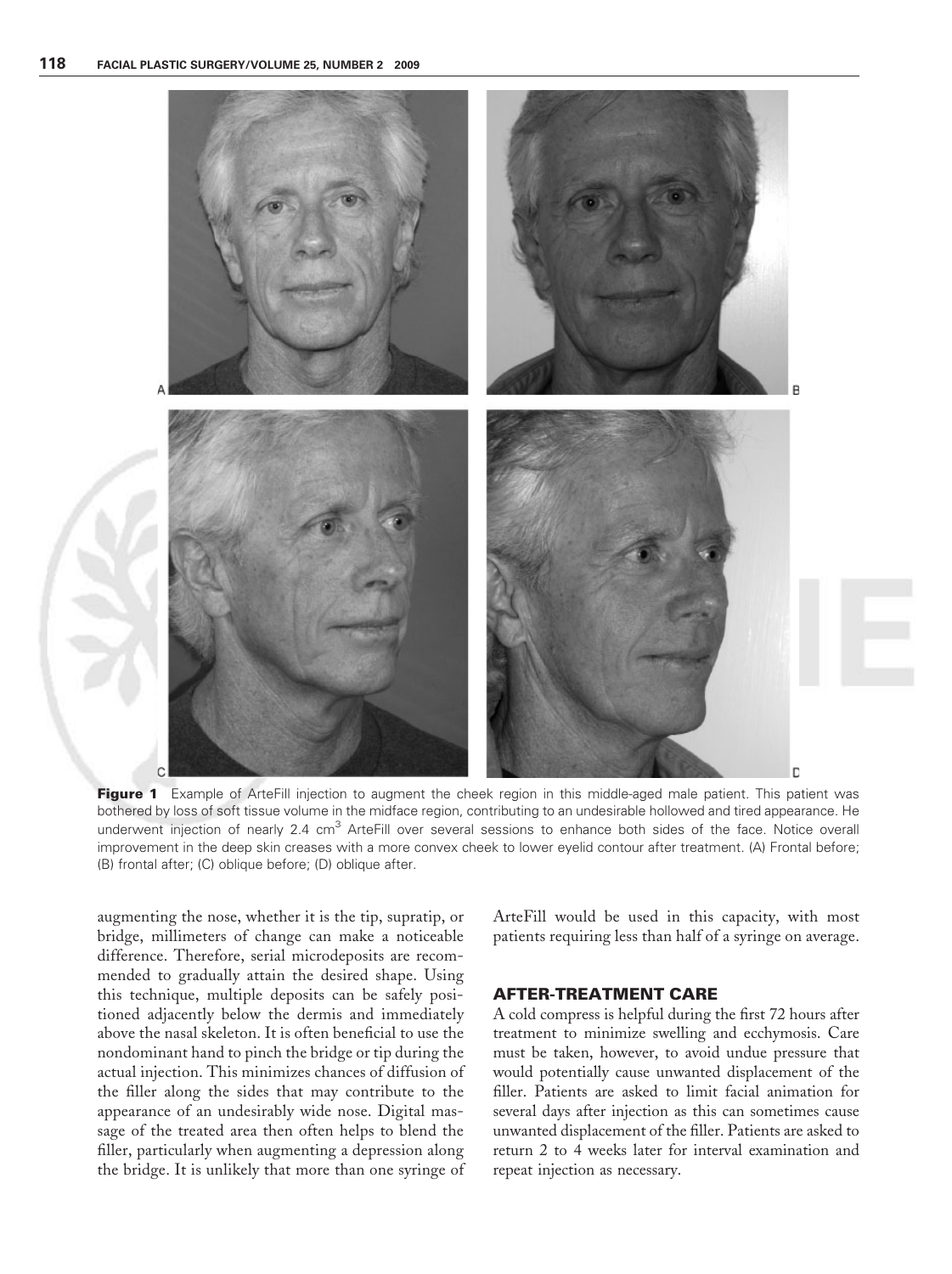

Figure 1 Example of ArteFill injection to augment the cheek region in this middle-aged male patient. This patient was bothered by loss of soft tissue volume in the midface region, contributing to an undesirable hollowed and tired appearance. He underwent injection of nearly 2.4 cm<sup>3</sup> ArteFill over several sessions to enhance both sides of the face. Notice overall improvement in the deep skin creases with a more convex cheek to lower eyelid contour after treatment. (A) Frontal before; (B) frontal after; (C) oblique before; (D) oblique after.

augmenting the nose, whether it is the tip, supratip, or bridge, millimeters of change can make a noticeable difference. Therefore, serial microdeposits are recommended to gradually attain the desired shape. Using this technique, multiple deposits can be safely positioned adjacently below the dermis and immediately above the nasal skeleton. It is often beneficial to use the nondominant hand to pinch the bridge or tip during the actual injection. This minimizes chances of diffusion of the filler along the sides that may contribute to the appearance of an undesirably wide nose. Digital massage of the treated area then often helps to blend the filler, particularly when augmenting a depression along the bridge. It is unlikely that more than one syringe of ArteFill would be used in this capacity, with most patients requiring less than half of a syringe on average.

#### AFTER-TREATMENT CARE

A cold compress is helpful during the first 72 hours after treatment to minimize swelling and ecchymosis. Care must be taken, however, to avoid undue pressure that would potentially cause unwanted displacement of the filler. Patients are asked to limit facial animation for several days after injection as this can sometimes cause unwanted displacement of the filler. Patients are asked to return 2 to 4 weeks later for interval examination and repeat injection as necessary.